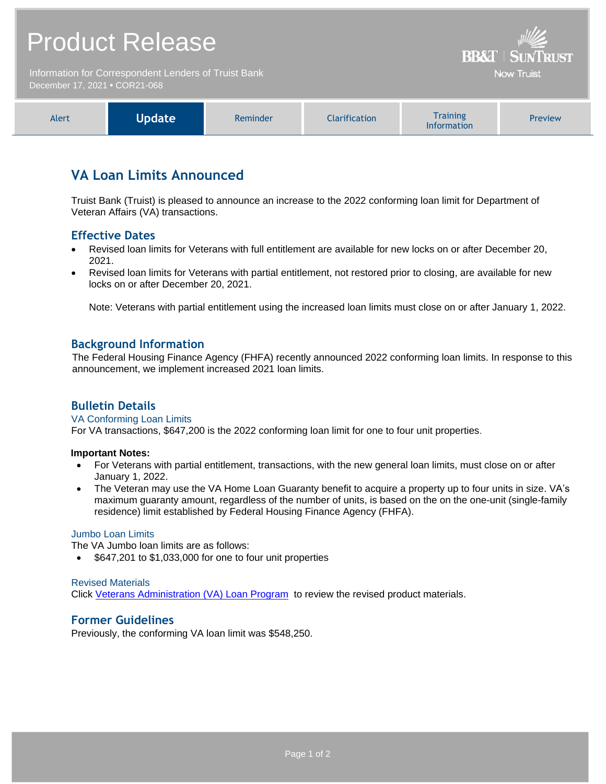# Product Release

Information for Correspondent Lenders of Truist Bank December 17, 2021 **•** COR21-068

|--|

**BB&T | SUNTRUST** Now Truist

## **VA Loan Limits Announced**

Truist Bank (Truist) is pleased to announce an increase to the 2022 conforming loan limit for Department of Veteran Affairs (VA) transactions.

## **Effective Dates**

- Revised loan limits for Veterans with full entitlement are available for new locks on or after December 20, 2021.
- Revised loan limits for Veterans with partial entitlement, not restored prior to closing, are available for new locks on or after December 20, 2021.

Note: Veterans with partial entitlement using the increased loan limits must close on or after January 1, 2022.

### **Background Information**

The Federal Housing Finance Agency (FHFA) recently announced 2022 conforming loan limits. In response to this announcement, we implement increased 2021 loan limits.

## **Bulletin Details**

#### VA Conforming Loan Limits

For VA transactions, \$647,200 is the 2022 conforming loan limit for one to four unit properties.

#### **Important Notes:**

- For Veterans with partial entitlement, transactions, with the new general loan limits, must close on or after January 1, 2022.
- The Veteran may use the VA Home Loan Guaranty benefit to acquire a property up to four units in size. VA's maximum guaranty amount, regardless of the number of units, is based on the on the one-unit (single-family residence) limit established by Federal Housing Finance Agency (FHFA).

#### Jumbo Loan Limits

The VA Jumbo loan limits are as follows:

• \$647,201 to \$1,033,000 for one to four unit properties

#### Revised Materials

Click [Veterans Administration \(VA\) Loan Program](https://www.truistsellerguide.com/manual/cor/products/cVA.pdf) to review the revised product materials.

#### **Former Guidelines**

Previously, the conforming VA loan limit was \$548,250.